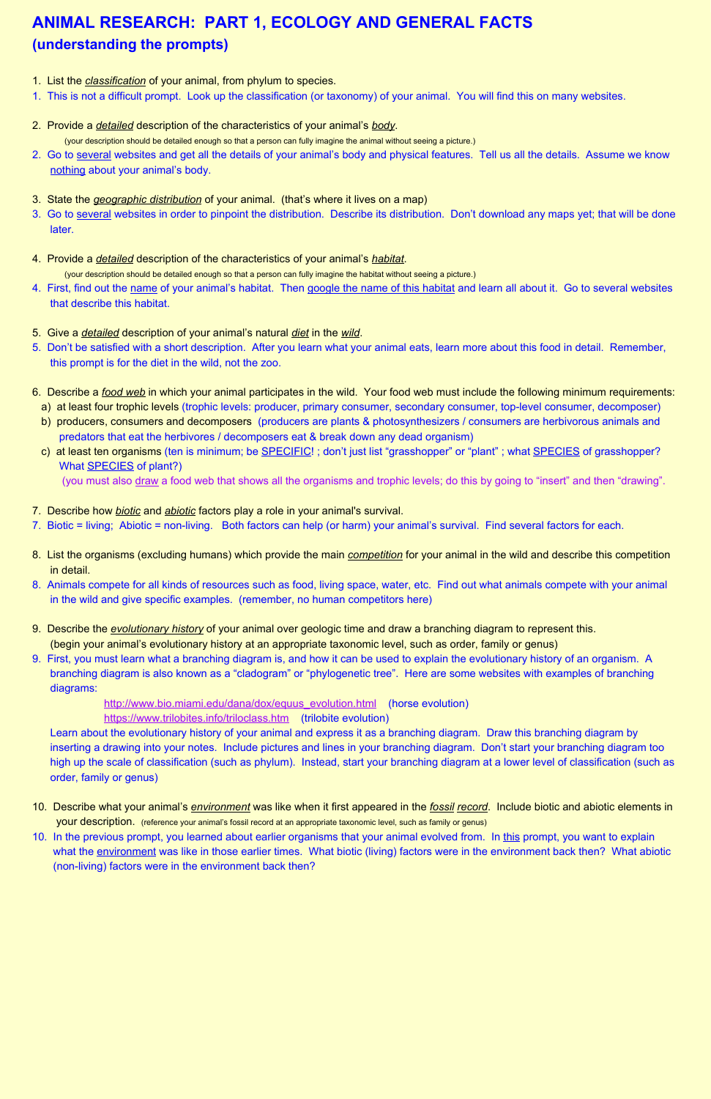## **ANIMAL RESEARCH: PART 1, ECOLOGY AND GENERAL FACTS (understanding the prompts)**

- 1. List the *classification* of your animal, from phylum to species.
- 1. This is not a difficult prompt. Look up the classification (or taxonomy) of your animal. You will find this on many websites.
- 2. Provide a *detailed* description of the characteristics of your animal's *body*. (your description should be detailed enough so that a person can fully imagine the animal without seeing a picture.)
- 2. Go to several websites and get all the details of your animal's body and physical features. Tell us all the details. Assume we know nothing about your animal's body.
- 3. State the *geographic distribution* of your animal. (that's where it lives on a map)
- 3. Go to several websites in order to pinpoint the distribution. Describe its distribution. Don't download any maps yet; that will be done later.
- 4. Provide a *detailed* description of the characteristics of your animal's *habitat*. (your description should be detailed enough so that a person can fully imagine the habitat without seeing a picture.)
- 4. First, find out the name of your animal's habitat. Then google the name of this habitat and learn all about it. Go to several websites that describe this habitat.
- 5. Give a *detailed* description of your animal's natural *diet* in the *wild*.
- 5. Don't be satisfied with a short description. After you learn what your animal eats, learn more about this food in detail. Remember, this prompt is for the diet in the wild, not the zoo.
- 6. Describe a *food web* in which your animal participates in the wild. Your food web must include the following minimum requirements:
	- a) at least four trophic levels (trophic levels: producer, primary consumer, secondary consumer, top-level consumer, decomposer)
	- b) producers, consumers and decomposers (producers are plants & photosynthesizers / consumers are herbivorous animals and predators that eat the herbivores / decomposers eat & break down any dead organism)
	- c) at least ten organisms (ten is minimum; be SPECIFIC!; don't just list "grasshopper" or "plant"; what SPECIES of grasshopper? What **SPECIES** of plant?)
		- (you must also draw a food web that shows all the organisms and trophic levels; do this by going to "insert" and then "drawing".
- 7. Describe how *biotic* and *abiotic* factors play a role in your animal's survival.
- 7. Biotic = living; Abiotic = non-living. Both factors can help (or harm) your animal's survival. Find several factors for each.
- 8. List the organisms (excluding humans) which provide the main *competition* for your animal in the wild and describe this competition in detail.
- 8. Animals compete for all kinds of resources such as food, living space, water, etc. Find out what animals compete with your animal in the wild and give specific examples. (remember, no human competitors here)
- 9. Describe the *evolutionary history* of your animal over geologic time and draw a branching diagram to represent this. (begin your animal's evolutionary history at an appropriate taxonomic level, such as order, family or genus)
- 9. First, you must learn what a branching diagram is, and how it can be used to explain the evolutionary history of an organism. A branching diagram is also known as a "cladogram" or "phylogenetic tree". Here are some websites with examples of branching diagrams:

[http://www.bio.miami.edu/dana/dox/equus\\_evolution.html](http://www.bio.miami.edu/dana/dox/equus_evolution.html)(horse evolution) <https://www.trilobites.info/triloclass.htm>(trilobite evolution)

 Learn about the evolutionary history of your animal and express it as a branching diagram. Draw this branching diagram by inserting a drawing into your notes. Include pictures and lines in your branching diagram. Don't start your branching diagram too high up the scale of classification (such as phylum). Instead, start your branching diagram at a lower level of classification (such as order, family or genus)

- 10. Describe what your animal's *environment* was like when it first appeared in the *fossil record*. Include biotic and abiotic elements in
- your description. (reference your animal's fossil record at an appropriate taxonomic level, such as family or genus)
- 10. In the previous prompt, you learned about earlier organisms that your animal evolved from. In this prompt, you want to explain what the environment was like in those earlier times. What biotic (living) factors were in the environment back then? What abiotic (non-living) factors were in the environment back then?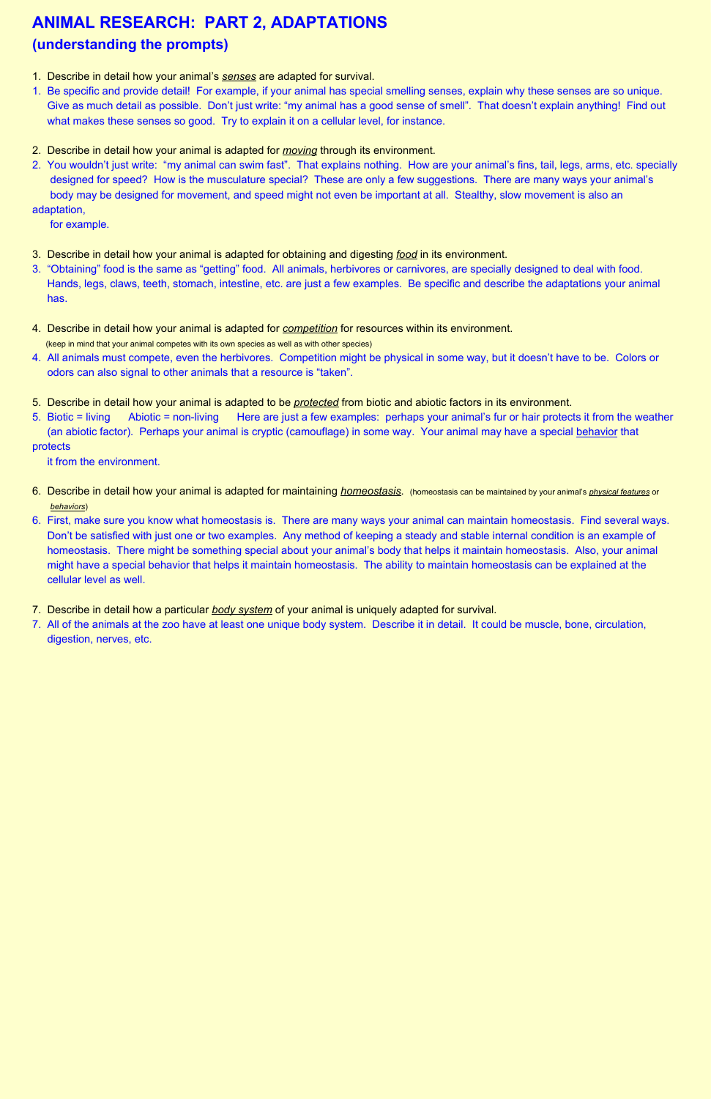## **ANIMAL RESEARCH: PART 2, ADAPTATIONS (understanding the prompts)**

- 1. Describe in detail how your animal's *senses* are adapted for survival.
- 1. Be specific and provide detail! For example, if your animal has special smelling senses, explain why these senses are so unique. Give as much detail as possible. Don't just write: "my animal has a good sense of smell". That doesn't explain anything! Find out what makes these senses so good. Try to explain it on a cellular level, for instance.
- 2. Describe in detail how your animal is adapted for *moving* through its environment.
- 2. You wouldn't just write: "my animal can swim fast". That explains nothing. How are your animal's fins, tail, legs, arms, etc. specially designed for speed? How is the musculature special? These are only a few suggestions. There are many ways your animal's body may be designed for movement, and speed might not even be important at all. Stealthy, slow movement is also an adaptation,

for example.

- 3. Describe in detail how your animal is adapted for obtaining and digesting *food* in its environment.
- 3. "Obtaining" food is the same as "getting" food. All animals, herbivores or carnivores, are specially designed to deal with food. Hands, legs, claws, teeth, stomach, intestine, etc. are just a few examples. Be specific and describe the adaptations your animal has.
- 4. Describe in detail how your animal is adapted for *competition* for resources within its environment. (keep in mind that your animal competes with its own species as well as with other species)
- 4. All animals must compete, even the herbivores. Competition might be physical in some way, but it doesn't have to be. Colors or odors can also signal to other animals that a resource is "taken".
- 5. Describe in detail how your animal is adapted to be *protected* from biotic and abiotic factors in its environment.
- 5. Biotic = living Abiotic = non-living Here are just a few examples: perhaps your animal's fur or hair protects it from the weather (an abiotic factor). Perhaps your animal is cryptic (camouflage) in some way. Your animal may have a special behavior that protects

it from the environment.

- 6. Describe in detail how your animal is adapted for maintaining *homeostasis*. (homeostasis can be maintained by your animal's *physical features* or  *behaviors*)
- 6. First, make sure you know what homeostasis is. There are many ways your animal can maintain homeostasis. Find several ways. Don't be satisfied with just one or two examples. Any method of keeping a steady and stable internal condition is an example of homeostasis. There might be something special about your animal's body that helps it maintain homeostasis. Also, your animal might have a special behavior that helps it maintain homeostasis. The ability to maintain homeostasis can be explained at the cellular level as well.
- 7. Describe in detail how a particular *body system* of your animal is uniquely adapted for survival.
- 7. All of the animals at the zoo have at least one unique body system. Describe it in detail. It could be muscle, bone, circulation, digestion, nerves, etc.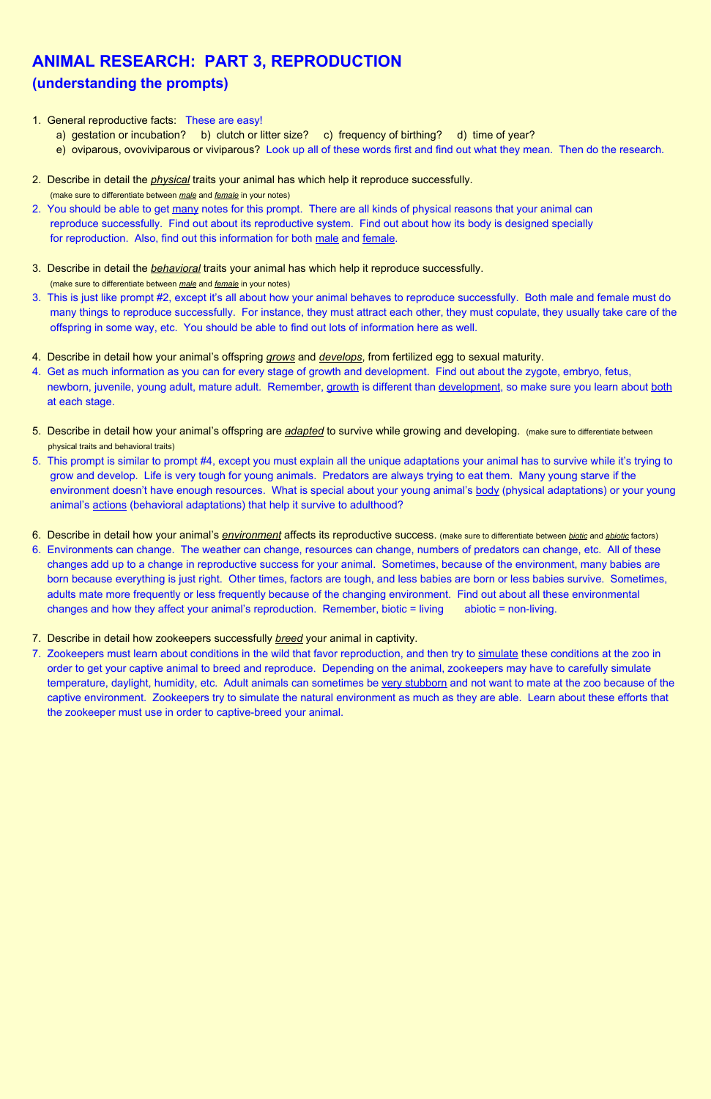## **ANIMAL RESEARCH: PART 3, REPRODUCTION (understanding the prompts)**

- 1. General reproductive facts: These are easy!
	- a) gestation or incubation?b) clutch or litter size?c) frequency of birthing?d) time of year?
	- e) oviparous, ovoviviparous or viviparous?Look up all of these words first and find out what they mean. Then do the research.
- 2. Describe in detail the *physical* traits your animal has which help it reproduce successfully.

(make sure to differentiate between *male* and *female* in your notes)

- 2. You should be able to get many notes for this prompt. There are all kinds of physical reasons that your animal can reproduce successfully. Find out about its reproductive system. Find out about how its body is designed specially for reproduction. Also, find out this information for both male and female.
- 3. Describe in detail the *behavioral* traits your animal has which help it reproduce successfully. (make sure to differentiate between *male* and *female* in your notes)
- 3. This is just like prompt #2, except it's all about how your animal behaves to reproduce successfully. Both male and female must do many things to reproduce successfully. For instance, they must attract each other, they must copulate, they usually take care of the offspring in some way, etc. You should be able to find out lots of information here as well.
- 4. Describe in detail how your animal's offspring *grows* and *develops*, from fertilized egg to sexual maturity.
- 4. Get as much information as you can for every stage of growth and development. Find out about the zygote, embryo, fetus, newborn, juvenile, young adult, mature adult. Remember, growth is different than development, so make sure you learn about both at each stage.
- 5. Describe in detail how your animal's offspring are *adapted* to survive while growing and developing. (make sure to differentiate between physical traits and behavioral traits)
- 5. This prompt is similar to prompt #4, except you must explain all the unique adaptations your animal has to survive while it's trying to grow and develop. Life is very tough for young animals. Predators are always trying to eat them. Many young starve if the environment doesn't have enough resources. What is special about your young animal's body (physical adaptations) or your young animal's actions (behavioral adaptations) that help it survive to adulthood?
- 6. Describe in detail how your animal's *environment* affects its reproductive success. (make sure to differentiate between *biotic* and *abiotic* factors)
- 6. Environments can change. The weather can change, resources can change, numbers of predators can change, etc. All of these changes add up to a change in reproductive success for your animal. Sometimes, because of the environment, many babies are born because everything is just right. Other times, factors are tough, and less babies are born or less babies survive. Sometimes, adults mate more frequently or less frequently because of the changing environment. Find out about all these environmental changes and how they affect your animal's reproduction. Remember, biotic = living abiotic = non-living.
- 7. Describe in detail how zookeepers successfully *breed* your animal in captivity.
- 7. Zookeepers must learn about conditions in the wild that favor reproduction, and then try to simulate these conditions at the zoo in order to get your captive animal to breed and reproduce. Depending on the animal, zookeepers may have to carefully simulate temperature, daylight, humidity, etc. Adult animals can sometimes be very stubborn and not want to mate at the zoo because of the captive environment. Zookeepers try to simulate the natural environment as much as they are able. Learn about these efforts that the zookeeper must use in order to captive-breed your animal.